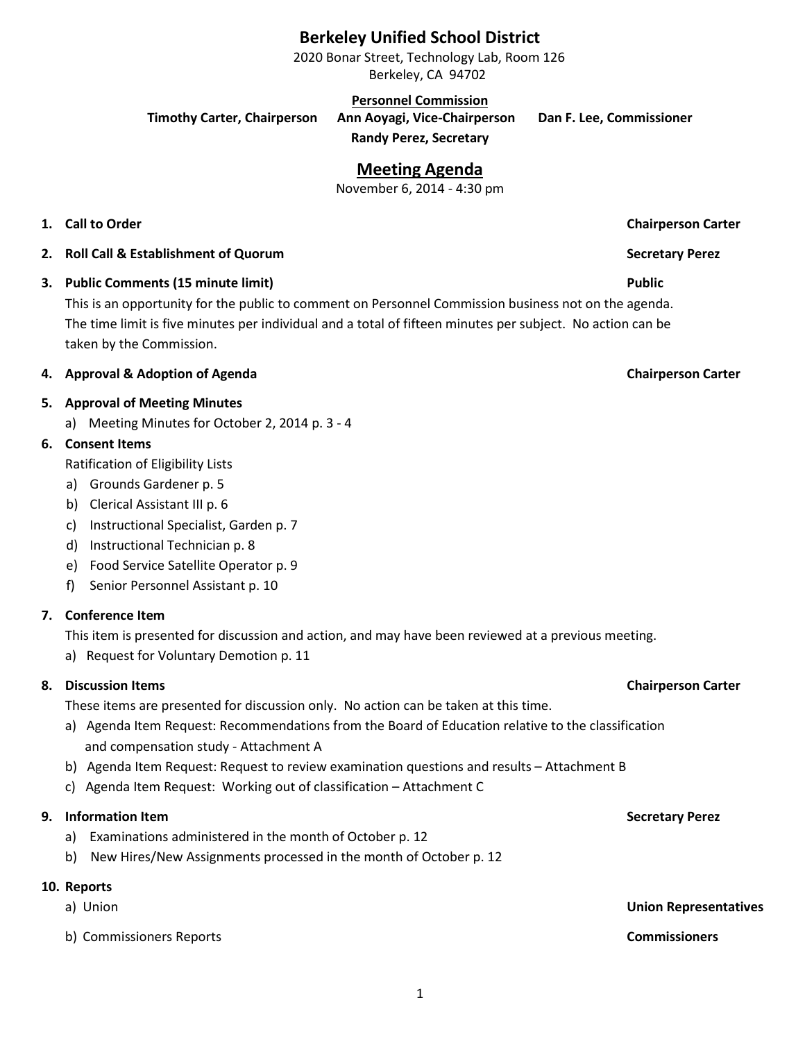# **Berkeley Unified School District**

2020 Bonar Street, Technology Lab, Room 126 Berkeley, CA 94702

**Personnel Commission**

**Timothy Carter, Chairperson Ann Aoyagi, Vice-Chairperson Dan F. Lee, Commissioner**

**Randy Perez, Secretary**

# **Meeting Agenda**

November 6, 2014 - 4:30 pm

- **1. Call to Order Chairperson Carter**
- **2. Roll Call & Establishment of Quorum Secretary Perez**
- **3. Public Comments (15 minute limit) Public**

This is an opportunity for the public to comment on Personnel Commission business not on the agenda. The time limit is five minutes per individual and a total of fifteen minutes per subject. No action can be taken by the Commission.

### **4. Approval & Adoption of Agenda Chairperson Carter**

### **5. Approval of Meeting Minutes**

a) Meeting Minutes for October 2, 2014 p. 3 - 4

## **6. Consent Items**

Ratification of Eligibility Lists

- a) Grounds Gardener p. 5
- b) Clerical Assistant III p. 6
- c) Instructional Specialist, Garden p. 7
- d) Instructional Technician p. 8
- e) Food Service Satellite Operator p. 9
- f) Senior Personnel Assistant p. 10

## **7. Conference Item**

This item is presented for discussion and action, and may have been reviewed at a previous meeting.

a) Request for Voluntary Demotion p. 11

## **8. Discussion Items Chairperson Carter**

These items are presented for discussion only. No action can be taken at this time.

- a) Agenda Item Request: Recommendations from the Board of Education relative to the classification and compensation study - Attachment A
- b) Agenda Item Request: Request to review examination questions and results Attachment B
- c) Agenda Item Request: Working out of classification Attachment C

# **9. Information Item Secretary Perez**

- a) Examinations administered in the month of October p. 12
- b) New Hires/New Assignments processed in the month of October p. 12

# **10. Reports**

- 
- b) Commissioners Reports **Commissioners**

a) Union **Union Representatives**